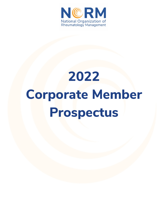

# **2022 Corporate Member Prospectus**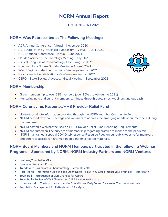# **NORM Annual Report**

### **Oct 2020 – Oct 2021**

# **NORM Was Represented at The Following Meetings:**

- ACR Annual Conference Virtual November 2020
- ACR State-of-the-Art Clinical Symposium Virtual April 2021
- NICA National Conference Virtual June 2021
- Florida Society of Rheumatology Meeting July 2021
- Clinical Congress of Rheumatology East August 2021
- Rheumatology Nurses Society Meeting August 2021
- West Virginia State Rheumatology Meeting August 2021
- Healthcare Advocate National Conference August 2021
- CSRO State Society Advocacy Virtual Meeting September 2021

### **NORM Membership**

- Grew membership to over 585 members (over 15% growth during 2021)
- Mentoring new and current members continues through bootcamps, webinars and outreach

# **NORM Coronavirus Response/HHS Provider Relief Fund**

- Up-to-the-minute information provided through the NORM member Community Forum.
- NORM hosted townhall meetings and webinars to address the emerging needs of our members during the pandemic.
- NORM hosted a webinar focused on HHS Provider Relief Fund Reporting Requirements
- NORM conducted on-line surveys of membership regarding practice response to the pandemic.
- NORM maintained a special COVID-19 response Resource Page on our public website for members and others to access for information on pandemic related materials.

# **NORM Board Members and NORM Members participated in the following Webinar Programs – Sponsored by NORM, NORM Industry Partners and NORM Ventures**

- Webinar/Townhall MFN
- Biosimilar Webinar Pfizer
- Trends with Biosimilars in Rheumatology Cardinal Health
- Hart Health Information Blocking and Open Notes How They Could Impact Your Practices Hart Health
- Town Hall Introduction of CMS Changes for ASP #1
- Town Hall Review of CMS Changes for ASP #2 How to Prepare
- Lupus Nephritis: The Importance of Active Surveillance, Early Dx and Successful Treatment Aurinia
- Population Management for Patients with RA Myriad

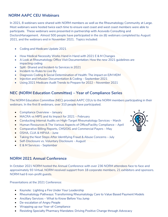# **NORM AAPC CEU Webinars**

In 2021, 8 webinars were shared with NORM members as well as the Rheumatology Community at Large. Most webinars were hosted twice each time to ensure east coast and west coast members were able to participate. These webinars were presented in partnership with Acevedo Consulting and DoctorsManagement. Almost 500 people have participated in the six (6) webinars completed by August 2021, and the webinars end in November 2021. Topics included:

- Coding and Medicare Update 2021
- How Medical Necessity Works Hand in Hand with 2021 E & M Changes
- A Look at Rheumatology Office Visit Documentation: How the new 2021 guidelines are impacting coding
- Split -Shared and Incident-to Services in 2021
- Incident-to-Rules to Live By
- Diagnosis Coding & Social Determination of Health: The impact on E/M MDM
- Injection and Infusion Documentation & Coding September 2021
- Using 2021 Medicare Audit Trends to Prepare for 2022 November 2021

# **NEC (NORM Education Committee) – Year of Compliance Series**

The NORM Education Committee (NEC) provided AAPC CEUs to the NORM members participating in their webinars. In the first 8 webinars, over 310 people have participated.

- Compliance Overview January
- MACRA vs MIPS and its Impact for 2021 February
- Conducting Internal Audits on High-Target Rheumatology Services March
- Human Resources & The Various Aspects of Office/Facility Compliance April
- Comparative Billing Reports, CMS/OIG and Commercial Payers May
- OSHA, CLIA & HIPAA June
- Taking the Next Steps After Identifying Fraud & Abuse Concerns July
- Self-Disclosure vs. Voluntary Disclosure August
- E & M Services September

# **NORM 2021 Annual Conference**

In October 2021 NORM hosted the Annual Conference with over 236 NORM attendees face to face and approximately 93 Virtual. NORM received support from 18 corporate members, 21 exhibitors and sponsors. NORM had 6 non-profit guests.

Presentations at the 2021 Conference:

- Keynote: Lighting a Fire Under Your Leadership
- Rheumatology Pathways: Transforming Rheumatology Care to Value Based Payment Models
- Ancillary Services What to Know Before You Jump
- De-escalation of Angry People
- Wrapping up our Year-of-Compliance
- Resisting Specialty Pharmacy Mandates: Driving Positive Change through Advocacy

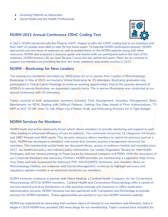- Involving Patients as Advocates
- Social Media and the Health Professional

# **NORM 2021 Annual Conference CRHC Coding Test**



In 2021, NORM partnered with the Phoenix AAPC chapter to offer the CRHC coding test to our members and their staff. 23 people were able to take (5) five hours exam. To help the NORM participants prepare, NORM sponsored over ten hours of webinars as well as posted these on the NORM website along with other resources. NORM also prepared a resource guide and shared with our participants before the start of the webinars. NORM hosted a (6) six-hour Review Course the day before the exam. Plans are to continue to support our members by providing the test, the study webinars, and review session in 2022.

### **NORM – Bootcamp for New Leaders**

The coronavirus pandemic cancelled our 2020 plans for an in-person New Leaders in Rheumatology Bootcamp. In May of 2021 we hosted a Virtual Bootcamp for 25 attendees. Bootcamp graduates also participated in Virtual Cohort Meetings to continue learning opportunities. Due to the popular demand of NORM's in-person Bootcamp, we expanded capacity twice. The in-person Bootcamp was conducted at our annual conference with 35 attendees.

Topics covered in both preparatory seminars included: Time Management, Inventory Management, Basic Benchmarks for RCM, Dealing with Difficult Patients, Getting One Step Ahead of Prior Authorizations, TO NPP or NOT TO NP, How To Talk When You'd Rather Walk, and Motivating Workers On A Tight Budget.

# **NORM Services for Members**

NORM hosts and active community forum which allows members to provide mentoring and support to each other leading to enhanced efficiency of care for patients. The community forum has 15 categories, 54 forums, and 1967 threads and 9641 posts. This dynamic resource allows members to search for previous post on a topic. NORM has developed a members' only portal that contains practice management resources for members. This membership portal hosts our document library, access to webinars hosted and recorded since 2017, our healthcare policy and industry policy information, our weekly *Regulatory Review* by Hart Health Strategies, and our newest postings of Payer Issues by Insurance company and PBMs. With the assistance of our Corporate Members and Advocacy Partners, NORM provides our membership a Legislative Map, Know Your State web link, Grassroots for Advocacy PDF, MACRA/MIPS factsheets, and checklist. *News on Rheumatology Matters*, our endeavor with DoctorsManagement, continues to highlight advocacy and regulatory updates monthly in an electronic format for our members.

NORM Ventures continues to partner with Metro Medical, a Cardinal Health Company, for our Cornerstone Rheumatology GPO for NORM members. Cardinal Health and Cornerstone Rheumatology offer a variety of services beyond just drug distribution, to help practices manage and maximize in-office medication administration services. NORM Ventures has also partnered with Transpefect and RxVantage to provide services for NORM members. These opportunities are posted on our new NORM Ventures website.

NORM has maintained its news blog that contains topics of interest to our members and followers. Since it began in 2014 NORM has provided 295 news blogs for our membership. Topics covered have included Six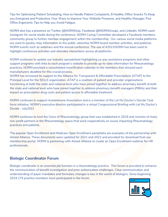Tips for Optimizing Patient Scheduling, How to Handle Patient Complaints, 8 Healthy Office Snacks To Keep you Energized and Productive, Four Ways to Improve Your Website Presence, and Healthy Manager: Five Office Ergonomic Tips to Help you Avoid Fatigue.

NORM also has a presence on Twitter (@NORMGrp), Facebook (@NORMGroup), and Linkedin, NORM used Instagram for social media during the conference. NORM Caring Committee developed a Facebook members community group to further member engagement within the membership. Our various social media platforms are used to quickly relay information to the public, advertise NORM board member activities, and publicize NORM events such as webinars and the annual conference. The use of #2021NORM has been used to highlight conference activities and attendee interactions across all platforms.

NORM continues to update our industry spreadsheet highlighting co-pay assistance programs and other support programs with links to each program's website to provide up-to-date information for Rheumatology practices. NORM provided a consolidated reverification calendar to the members that showed each manufacturers deadline for this crucial process.

NORM has increased its support to the Alliance for Transparent & Affordable Prescriptions (ATAP) to the Principal Level for the 501c3 organization. ATAP is a coalition of patient and provider organizations functioning at both the state and national level who have joined together to address pharmacy benefit at both the state and national level who have joined together to address pharmacy benefit managers (PBMs) and their impact on prescription drug costs and patient access to affordable treatment.

NORM continues to support Autoimmune Association and is a member of the Let My Doctor's Decide Task force initiative. NORM's executive director participated in a virtual Congressional Briefing with Let My Doctor's Decide – July2021

NORM continues to host the Voice of Rheumatology group that was established in 2019 and consists of many non-profit partners in the Rheumatology space that work cooperatively on issues impacting Rheumatology practices and patients.

The popular Open Enrollment and Medicare Open Enrollment pamphlets are examples of the partnership with Aimed Alliance. These documents were updated for 2021 and 2022 and provided for download from our membership portal. NORM is partnering with Aimed Alliance to create an Open Enrollment webinar for HR professionals.

# **Biologic Coordinator Forum**

Biologic coordinator is an essential job function in a rheumatology practice. This forum is provided to enhance the communication of benefit investigation and prior authorization challenges. Clear communication and understanding of payer mandates and formulary changes is key in the world of biologics. Since beginning 2019 175 practice members have participated in the forum.

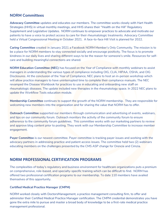# **NORM Committees**

**Advocacy Committee** updates and educates our members. The committee works closely with Hart Health Strategies (HHS) in virtual monthly meetings, and HHS shares their "Health on the Hill" Regulatory Supplement and Legislative Updates. NORM continues to empower practices to advocate and motivate our patients to have a voice to protect access to care for their rheumatologic treatments. Advocacy Committee held a Virtual Congressional Meeting in October 2021. A face-to-face Hill Visit is planned for 2022.

**Caring Committee** created in January 2021 a Facebook NORM Member's Only Community. The mission is to be a place for NORM members to stay connected socially and encourage positivity. The focus is to promote kindness in our daily lives and sharing different ways to be the reason for someone's smile. Resources for selfcare and building meaningful connections are shared.

**NORM Education Committee (NEC)** has focused on the *Year of Compliance* with monthly webinars to assist managers in understanding the various types of compliance including OIG, CLIA, HIPAA, OSHA, and OIG Disclosures. At the conclusion of the *Year of Compliance,* NEC plans to host an in-person workshop which will allow practice managers to have uninterrupted time to complete their compliance manuals. The NEC revamped the Disease Workbook for practices to use in educating and onboarding new staff on rheumatologic diseases. The update included new therapies in the rheumatology space. In 2022 NEC plans to update the Workflow Tools education module.

**Membership Committee** continues to support the growth of the NORM membership. They are responsible for welcoming new members into the organization and for sharing the value that NORM has to offer.

**Outreach Committee** supported our members through communication and advertising of events, webinars, and tips on our community forum. Outreach monitors the activity of the community forum to ensure adherence to the community forum quidelines. This committee works with our marketing partners to review and approve blog content prior to posting. They work with our Membership Committee to increase member engagement.

**Payer Committee** is our newest committee. Payer committee is tracking payer issues and working with the advocacy partners in addressing practice and patient access issues. The committee held two (2) webinars educating members on the challenges presented by the CMS ASP change for Orencia and Cimzia.

# **NORM PROFESSIONAL CERTIFICATION PROGRAMS**

The complexities of today's regulatory and business environment for healthcare organizations puts a premium on comprehensive, role-based, and specialty-specific training which can be difficult to find. NORM has offered two professional certification programs to our membership. To date 110 members have availed themselves of this opportunity.

#### **Certified Medical Practice Manager (CMPM)**

NORM worked closely with DoctorsManagement, a practice management consulting firm, to offer and administer their Certified Medical Practice Manager certification. The CMPM credential demonstrates you have gone the extra mile to pursue and master a broad body of knowledge to be a first-rate medical practice management professional.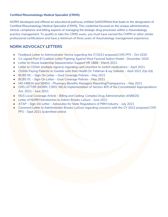#### **Certified Rheumatology Medical Specialist (CRMS)**

NORM developed and offered an educational pathway entitled GetNORMed that leads to the designation of Certified Rheumatology Medical Specialist (CRMS). This credential focused on the unique administrative, clinical, compliance and billing aspects of managing the biologic drug processes within a rheumatology practice management. To qualify to take the CRMS exam, you must have earned the CMPM or other similar professional certifications and have a minimum of three years of rheumatology management experience.

# **NORM ADVOCACY LETTERS**

- Feedback Letter to Administrator Verma regarding the CY2021 proposed CMS PFS Oct 2020
- Co-signed Part B Coalition Letter Fighting Against Most Favored Nation Model December 2020
- Letter to House leadership Sequestration Support HR 1868 March 2021
- Letter to CIGNA (multiple signers) regarding cash incentive to switch medications April 2021
- CIGNA Paying Patients to Gamble with their Health Dr. Feldman & Jay Salliotte April 2021 (Op-Ed)
- BCBS NC Sign-On Letter Gout Coverage Policies May 2021
- BCBS SC Sign-On Letter Gout Coverage Policies May 2021
- MO HB834 and SB403 Pharmacy Benefits Managers Reporting/Transparency May 2021
- CMS LETTER (NORM, CSRO, NICA) Implementation of Section 405 of the Consolidated Appropriations Act, 2021 – June 2021
- NGS Local Coverage Article Billing and Coding: Complex Drug Administration (A58620)
- Letter of NORM Introduction to Admin Brooks-LaSure June 2021
- ATAP Sign-On Letter Advocates for State Regulations of PBM Industry July 2021
- Comment Letter to Administrator Brooks-LaSure regarding concerns with the CY 2022 proposed CMS PFS – Sept 2021 (submitted online)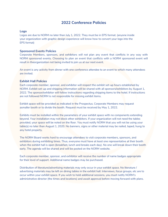# **2022 Conference Policies**

#### **Logo**

Logos are due to NORM no later than July 1, 2022. They must be in EPS format. (anyone inside your organization with graphic design experience will know how to convert your logo into the EPS format)

#### **Sponsored Events Policies**

Corporate Members, sponsors, and exhibitors *will not* plan any event that conflicts in any way with NORM sponsored events. Choosing to plan an event that conflicts with a NORM sponsored event will result in theorganization not being invited to join us at our next event.

An event is any activity from dinner with one conference attendee to an event to which many attendees are invited.

#### **Exhibit Hall Policies**

Each corporate member, sponsor, and exhibitor will respect the exhibit set-up hours established by NORM. Exhibit set-up and shipping information will be shared with all sponsors/exhibitors by August 1, 2022. The sponsor/exhibitor will follow instructions regarding shipping items to the hotel. If instructions are not followed NORM is not responsible for missing exhibit items.

Exhibit space will be provided as indicated in the Prospectus. Corporate Members may request asmaller booth or to divide the booth. Request must be received by May 1, 2022.

Exhibits must be installed within the parameters of your exhibit space with no components extending beyond. Your installation may not block other exhibitors. If your organization will not need the tables provided, your space will be noted on the floor. You must notify NORM that you will not be using your table(s) no later than August 1, 2020. No banners, signs or other material may be nailed, taped, hung to any hotel property.

The NORM Board works hard to encourage attendees to visit corporate members, sponsors, and exhibitors during exhibiting times. Thus, everyone must have at least one representative at their booth when the exhibit hall is open (breakfast, lunch and breaks each day). No one will break down their booth early. The agenda will be shared and will be posted on the NORM website.

Each corporate member, sponsor, and exhibitor will receive the number of name badges appropriate for their level of support. Additional name badges may be purchased.

Distribution of literature/advertising materials may only occur in your exhibit space. No literature / advertising materials may be left on dining tables in the exhibit hall. Interviews, focus groups, etc are to occur within your exhibit space. If you wish to hold additional sessions, you must notify NORM's administrative director (the times and locations) and await approval before moving forward with plans.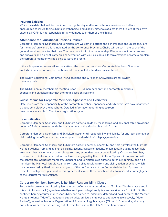#### **Insuring Exhibits**

While the exhibit hall will be monitored during the day and locked after our sessions end, all are encouraged to insure their exhibits, merchandise, and display materials against theft, fire, etc at their own expense. NORM is not responsible for any damage to or theft of the exhibits.

#### **Attendance for Educational Sessions Policies**

Corporate Members, Sponsors and Exhibitors are welcome to attend the general sessions unless they are for members' only and this is indicated on the conference brochure. Chairs will be set in the back of the general session space for their use. You may not sit with the membership. Please respect our attendees and speakers and do NOT carry on a conversation with your colleagues. If conversations become a problem the corporate member will be asked to leave the room.

If there is space, representatives may attend the breakout sessions. Corporate Members, Sponsors andExhibitors are not to enter the breakout room until all attendees have entered.

The NORM Educational Committee (NEC) sessions and Circles of Knowledge are for NORM members only.

The NORM annual membership meeting is for NORM members only and corporate members, sponsors and exhibitors may not attend this session sessions.

#### **Guest Rooms for Corporate Members, Sponsors and Exhibitors**

Hotel rooms are the responsibility of the corporate members, sponsors, and exhibitors. We have negotiated a guestroom block at the host hotel. Detailed information regarding guestroom reservationsavailable in Cvent, our registration system.

#### **Indemnification**

Corporate Members, Sponsors, and Exhibitors agree to abide by these terms, and any applicable provisions under NORM's agreement with the management of the Marriott Marquis Atlanta.

Corporate Members, Sponsors and Exhibitors assume full responsibility and liability for any loss, damage or claim arising out of injury or damage to sponsor and exhibitor's displays/materials.

Corporate Members, Sponsors, and Exhibitors agree to defend, indemnify, and hold harmless the Marriott Marquis Atlanta from and against all claims, actions, causes of actions, or liabilities, including reasonable attorney's fees arising out of or resulting from any act undertaken or committed by Corporate Member, Sponsor or Exhibitor or any contractors hired or engaged by the Exhibitor or Sponsor in connection with the conference. Corporate Members, Sponsors, and Exhibitors also agree to defend, indemnify, and hold harmless the Marriott Marquis Atlanta from any liability resulting from any claim, action or action, which may be asserted by third parties arising out of the performance of the Corporate Member, Sponsor or Exhibitor's obligations pursuant to this agreement, except those which are due to misconduct ornegligence of the Marriott Marquis Atlanta.

#### **Corporate Member, Sponsor, & Exhibitor Responsibility Clause**

To the fullest extent permitted by law, the person/legal entity described as "Exhibitor'' in this clause and in this exhibitor contract (regardless whether such person/legal entity is also described as "Exhibitor" in this contract) hereby assumes full responsibility and agrees to indemnify, defend and hold harmless the Marriott Marquis Atlanta ("Hotel"), managers, subsidiaries, affiliates, employees and agents (collectively, "Hotel Parties"), as well as National Organization of Rheumatology Managers ("Group"), from and against any and all claims or expenses arising out of Exhibitor's use of the Hotel's exhibition premises.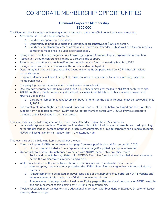# **Diamond Corporate Membership \$100,000**

The Diamond level includes the following items in reference to the non-CME annual educational meeting:

- Attendance at NORM Annual Conference:
	- o Fourteen company representatives,
	- o Opportunity to bring four additional company representatives at \$500 per person,
	- o Fourteen complimentary access privileges to Conference Attendee Hub as well as 14 complimentary conference magazines (includes list of attendees).
- Recognition in conference magazine to acknowledge support. Company logo incorporated in recognition.
- Recognition through conference signage to acknowledge support.
- Recognition in conference brochure if written commitment of funds received by March 1, 2022.
- Recognition of support at conference with Corporate Member lapel pin.
- Opportunity to introduce a speaker at live event following the script provided by NORM that will include corporate name.
- Corporate Members will have first right of refusal on location in exhibit hall at annual meeting based on membership level.
- Company logo and/or name included on back of conference t-shirt.
- One company conference tote bag insert (8.5 X 11, 3 sheets max size) mailed to NORM at conference site.
- 40X10 booth at annual conference and the booth includes 4 exhibit tables, 8 chairs, a waste basket, and electrical capabilities.
	- o Corporate Member may request smaller booth or to divide the booth. Request must be received by May 1, 2022.
- Sponsorship of Friday Night Reception and Dinner **or** Sponsor of Shuttle between Airport and Hotel **or** other suitable item negotiated between NORM and Corporate Member before July 1, 2022. Previous corporate members at this level have first right of refusal.

This level includes the following item on the Conference Attendee Hub at the 2022 conference:

• Enhanced corporate profile on Conference Attendee Hub which will allow your representative to add your logo, corporate description, contact information, brochures/documents, and links to corporate social media accounts. NORM will assign exhibit hall location link in the attendee hub.

- Company logo on NORM corporate member page from receipt of funds until December 31, 2022. o Link to company website from corporate member page if supplied by corporate member.
- Opportunity to host four (4) unbranded webinars with NORM membership on critical topics.
	- o Topics and dates to be negotiated with NORM's Executive Director and scheduled at least six weeks before the webinar to ensure time to advertise.
- Ability to submit a monthly issue to NORM for NORM to share with membership in each area:
	- o New company announcements posted on the NORM News Blog category News from our Industry Partners,
	- o Announcements to be posted on payer issue page of the *members' only* portal on NORM website and announcement of this posting by NORM to the membership, and
	- o Announcements to be posted on Healthcare Policy page of the *members' only* portal on NORM website and announcement of this posting by NORM to the membership.
- Twelve scheduled opportunities to share educational information with President or Executive Director on issues affecting rheumatology.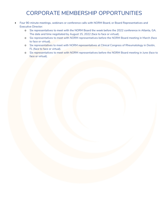- Four 90-minute meetings, webinars or conference calls with NORM Board, or Board Representatives and Executive Director:
	- o Six representatives to meet with the NORM Board the week before the 2022 conference in Atlanta, GA. The date and time negotiated by August 15, 2022 (face to face or virtual).
	- o Six representatives to meet with NORM representatives before the NORM Board meeting in March (face to face or virtual).
	- o Six representatives to meet with NORM representatives at Clinical Congress of Rheumatology in Destin, FL (face to face or virtual).
	- o Six representatives to meet with NORM representatives before the NORM Board meeting in June (face to face or virtual).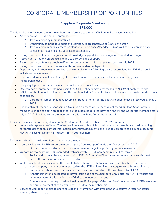# **Sapphire Corporate Membership \$75,000**

The Sapphire level includes the following items in reference to the non-CME annual educational meeting:

- Attendance at NORM Annual Conference:
	- o Twelve company representatives,
	- o Opportunity to bring four additional company representatives at \$500 per person
	- o Twelve complimentary access privileges to Conference Attendee Hub as well as 12 complimentary conference magazines (includes list of attendees).
- Recognition in conference magazine to acknowledge support. Company logo incorporated in recognition.
- Recognition through conference signage to acknowledge support.
- Recognition in conference brochure if written commitment of funds received by March 1, 2022
- Recognition of support at conference with Corporate Member lapel pin.
- Opportunity to introduce one breakout speaker at live event following the script provided by NORM that will include corporate name.
- Corporate Members will have first right of refusal on location in exhibit hall at annual meeting based on membership level.
- Company logo and/or name included on back of conference t-shirt.
- One company conference tote bag insert (8.5 X 11, 2 sheets max size) mailed to NORM at conference site.
- 30X10 booth at annual conference and the booth includes 3 exhibit tables, 6 chairs, a waste basket, and electrical capabilities.
	- o Corporate Member may request smaller booth or to divide the booth. Request must be received by May 1, 2022.
- Sponsorship of Room Key Sponsorship (your logo on room key for each guest room) **or** Head Shot Booth for member (signage at booth area) **or** other suitable item negotiated between NORM and Corporate Member before July 1, 2022. Previous corporate members at this level have first right of refusal.

This level includes the following items on the Conference Attendee Hub at the 2022 conference:

• Enhanced corporate profile on Conference Attendee Hub which will allow your representative to add your logo, corporate description, contact information, brochures/documents and links to corporate social media accounts. NORM will assign exhibit hall location link in attendee hub.

- Company logo on NORM corporate member page from receipt of funds until December 31, 2022. o Link to company website from corporate member page if supplied by corporate member.
- Opportunity to host three (3) unbranded webinars with NORM membership on critical topics.
	- o Topics and dates to be negotiated with NORM's Executive Director and scheduled at least six weeks before the webinar to ensure time to advertise.
- Ability to submit an issue every other month to NORM for NORM to share with membership in each area:
	- o New company announcements posted on the NORM News Blog category News from our Industry Partners and shared with membership across all social media platforms utilized by NORM,
	- o Announcements to be posted on payer issue page of the *members' only* portal on NORM website and announcement of this posting by NORM to the membership, and
	- o Announcements to be posted on Healthcare Policy page of the *members' only* portal on NORM website and announcement of this posting by NORM to the membership.
- Six scheduled opportunities to share educational information with President or Executive Director on issues affecting rheumatology.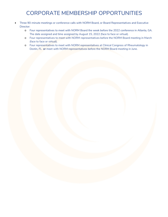- Three 90-minute meetings or conference calls with NORM Board, or Board Representatives and Executive Director:
	- o Four representatives to meet with NORM Board the week before the 2022 conference in Atlanta, GA. The date assigned and time assigned by August 15, 2022 (face to face or virtual).
	- o Four representatives to meet with NORM representatives before the NORM Board meeting in March (face to face or virtual).
	- o Four representatives to meet with NORM representatives at Clinical Congress of Rheumatology in Destin, FL **or** meet with NORM representatives before the NORM Board meeting in June.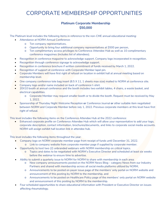### **Platinum Corporate Membership \$50,000**

The Platinum level includes the following items in reference to the non-CME annual educational meeting:

- Attendance at NORM Annual Conference:
	- o Ten company representatives,
	- o Opportunity to bring four additional company representatives at \$500 per person,
	- o Ten complimentary access privileges to Conference Attendee Hub as well as 10 complimentary conference magazines (includes list of attendees).
- Recognition in conference magazine to acknowledge support. Company logo incorporated in recognition.
- Recognition through conference signage to acknowledge support.
- Recognition in conference brochure if written commitment of funds received by March 1, 2022.
- Recognition of support at conference with Corporate Member lapel pin.
- Corporate Members will have first right of refusal on location in exhibit hall at annual meeting based on membership level.
- One company conference tote bag insert (8.5 X 11, 1 sheets max size) mailed to NORM at conference site.
- Company logo and/or name included on back of conference t-shirt.
- 20X10 booth at annual conference and the booth includes two exhibit tables, 4 chairs, a waste basket, and electrical capabilities.
	- o Corporate Member may request smaller booth or to divide the booth. Request must be received by May 1, 2022.
- Sponsorship of Thursday Night Welcome Reception **or** Conference Journal **or** other suitable item negotiated between NORM and Corporate Member before July 1, 2022. Previous corporate members at this level have first right of refusal.

This level includes the following items on the Conference Attendee Hub at the 2022 conference:

• Enhanced corporate profile on Conference Attendee Hub which will allow your representative to add your logo, corporate description, contact information, brochures/documents, and links to corporate social media accounts. NORM will assign exhibit hall location link in attendee hub.

- Company logo on NORM corporate member page from receipt of funds until December 31, 2022. o Link to company website from corporate member page if supplied by corporate member.
	- Opportunity to host two (2) unbranded webinars with NORM membership on critical topics.
		- o Topics and dates to be negotiated with NORM's Executive Director and scheduled at least six weeks before the webinar to ensure time to advertise.
- Ability to submit a quarterly issue to NORM for NORM to share with membership in each area:
	- o New company announcements posted on the NORM News Blog category News from our Industry Partners and shared with membership across all social media platforms utilized by NORM,
	- o Announcements to be posted on payer issue page of the *members' only* portal on NORM website and announcement of this posting by NORM to the membership, and
	- o Announcements to be posted on Healthcare Policy page of the *members' only* portal on NORM website and announcement of this posting by NORM to the membership.
- Four scheduled opportunities to share educational information with President or Executive Director on issues affecting rheumatology.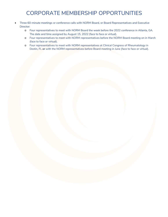- Three 60-minute meetings or conference calls with NORM Board, or Board Representatives and Executive Director:
	- o Four representatives to meet with NORM Board the week before the 2022 conference in Atlanta, GA. The date and time assigned by August 15, 2022 (face to face or virtual).
	- o Four representatives to meet with NORM representatives before the NORM Board meeting on in March (face to face or virtual).
	- o Four representatives to meet with NORM representatives at Clinical Congress of Rheumatology in Destin, FL **or** with the NORM representatives before Board meeting in June (face to face or virtual).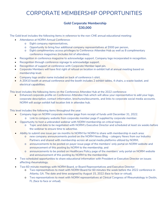# **Gold Corporate Membership \$30,000**

The Gold level includes the following items in reference to the non-CME annual educational meeting:

- Attendance at NORM Annual Conference:
	- o Eight company representatives,
	- o Opportunity to bring four additional company representatives at \$500 per person,
	- o Eight complimentary access privileges to Conference Attendee Hub as well as 8 complimentary conference magazines (includes list of attendees).
- Recognition in conference magazine to acknowledge support. Company logo incorporated in recognition.
- Recognition through conference signage to acknowledge support.
- Recognition of support at conference with Corporate Member lapel pin.
- Corporate Members will have first right of refusal on location in exhibit hall at annual meeting based on membership level.
- Company logo and/or name included on back of conference t-shirt.
- A 20X10 booth at annual conference and the booth includes 2 exhibit tables, 4 chairs, a waste basket, and electrical capabilities.

This level includes the following items on the Conference Attendee Hub at the 2022 conference:

• Enhanced corporate profile on Conference Attendee Hub which will allow your representative to add your logo, corporate description, contact information, brochures/documents, and links to corporate social media accounts. NORM will assign exhibit hall location link in attendee hub.

- Company logo on NORM corporate member page from receipt of funds until December 31, 2022.
	- o Link to company website from corporate member page if supplied by corporate member.
	- Opportunity to host a unbranded webinar with NORM membership on critical topics.
		- o Topic and date to be negotiated with NORM's Executive Director and scheduled at least six weeks before the webinar to ensure time to advertise.
- Ability to submit one issue per six months to NORM for NORM to share with membership in each area:
	- o new company announcements posted on the NORM News Blog category News from our Industry Partners and shared with membership across all social media platforms utilized by NORM,
	- o announcements to be posted on payer issue page of the *members' only* portal on NORM website and announcement of this posting by NORM to the membership, and
	- o announcements to be posted on Healthcare Policy page of the *members' only* portal on NORM website and announcement of this posting by NORM to the membership.
- Two scheduled opportunities to share educational information with President or Executive Director on issues affecting rheumatology.
- Two 60-minute meetings with NORM Board, or Board Representatives and Executive Director:
	- o Two representatives to meet with NORM Board for 60 minutes the week before the 2022 conference in Atlanta, GA. The date and time assigned by August 15, 2022 (face to face or virtual).
	- o Two representatives to meet with NORM representatives at Clinical Congress of Rheumatology in Destin, FL (face to face or virtual).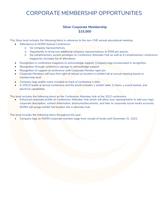### **Silver Corporate Membership \$15,000**

This Silver level includes the following items in reference to the non-CME annual educational meeting:

- Attendance at NORM Annual Conference:
	- o Six company representatives,
	- o Opportunity to bring two additional company representatives at \$500 per person,
	- o Six complimentary access privileges to Conference Attendee Hub as well as 6 complimentary conference magazines (includes list of attendees).
- Recognition in conference magazine to acknowledge support. Company logo incorporated in recognition.
- Recognition through conference signage to acknowledge support.
- Recognition of support at conference with Corporate Member lapel pin.
- Corporate Members will have first right of refusal on location in exhibit hall at annual meeting based on membership level
- Company logo and/or name included on back of conference t-shirt.
- A 10X10 booth at annual conference and the booth includes 1 exhibit table, 2 chairs, a waste basket, and electrical capabilities.

This level includes the following items on the Conference Attendee Hub at the 2022 conference:

• Enhanced corporate profile on Conference Attendee Hub which will allow your representative to add your logo, corporate description, contact information, brochures/documents, and links to corporate social media accounts. NORM will assign exhibit hall location link in attendee hub.

This level includes the following items throughout the year:

• Company logo on NORM corporate member page from receipt of funds until December 31, 2022.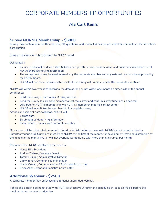# **Ala Cart Items**

### **Survey NORM's Membership - \$5000**

Survey may contain no more than twenty (20) questions, and this includes any questions that eliminate certain members' participation.

Survey questions must be approved by NORM board.

Deliverables:

- Survey results will be deidentified before sharing with the corporate member and under no circumstances will NORM share identifying information
- The survey results may be used internally by the corporate member and any external use must be approved by the NORM board.
- NORM will not share or discuss the result of the survey with others outside the corporate members.

NORM will within two weeks of receiving the data as long as not within one month on either side of the annual conference:

- Build the survey in our Survey Monkey account
- Send the survey to corporate member to test the survey and confirm survey functions as desired
- Distribute to NORM's membership via NORM's membership portal contact center
- NORM will incentivize the membership to complete survey

At the conclusion of data collection, NORM will:

- Collate data
- **Scrub data of identifying information**
- Share result of survey with corporate member

One survey will be distributed per month. Coordinate distribution process with NORM's administrative director [\(info@normgoup.org\).](mailto:info@normgoup.org) Questions must be to NORM by the first of the month, for development, test and distribution by the middle of the month. NORM will not overload its members with more than one survey per month.

Personnel from NORM involved in the process:

- Nancy Ellis, President
- Andrea Zlatkus, Executive Director
- Tammy Bulger, Administrative Director
- Ginny Inman, Communication Manager
- Austin Crouch, Communication & Social Media Manager
- Bryce Allen, Event and Logistics Coordinator

# **Additional Webinar - \$2500**

A corporate member may purchase an additional unbranded webinar.

Topics and dates to be negotiated with NORM's Executive Director and scheduled at least six weeks before the webinar to ensure time to advertise.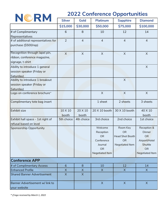

# **2022 Conference Opportunities**

|                                                                                    | <b>Silver</b>    | <b>Gold</b>      | <b>Platinum</b>                                                                            | <b>Sapphire</b>                                                    | <b>Diamond</b>                                                                                 |
|------------------------------------------------------------------------------------|------------------|------------------|--------------------------------------------------------------------------------------------|--------------------------------------------------------------------|------------------------------------------------------------------------------------------------|
|                                                                                    | \$15,000         | \$30,000         | \$50,000                                                                                   | \$75,000                                                           | \$100,000                                                                                      |
| # of Complimentary<br>Representatives                                              | 6                | 8                | 10                                                                                         | 12                                                                 | 14                                                                                             |
| # of additional representatives for<br>purchase (\$500/rep)                        | 2                | $\overline{4}$   | $\overline{4}$                                                                             | $\overline{4}$                                                     | $\overline{4}$                                                                                 |
| Recognition through lapel pin,<br>ribbon, conference magazine,<br>signage, t-shirt | $\times$         | X                | $\sf X$                                                                                    | X                                                                  | X                                                                                              |
| Ability to introduce 1 general<br>session speaker (Friday or<br>Saturday)          |                  |                  |                                                                                            |                                                                    | $\times$                                                                                       |
| Ability to introduce 1 breakout<br>session speaker (Friday or<br>Saturday)         |                  |                  |                                                                                            | X                                                                  |                                                                                                |
| Logo on conference brochure*                                                       |                  |                  | $\times$                                                                                   | X                                                                  | $\times$                                                                                       |
| Complimentary tote bag insert                                                      |                  |                  | 1 sheet                                                                                    | 2 sheets                                                           | 3 sheets                                                                                       |
| Exhibit size                                                                       | 10 X 10<br>booth | 20 X 10<br>booth | 20 X 10 booth                                                                              | 30 X 10 booth                                                      | 40 X 10<br>booth                                                                               |
| Exhibit hall space - 1st right of<br>refusal based on level                        | 5th choice       | 4th choice       | 3rd choice                                                                                 | 2nd choice                                                         | 1st choice                                                                                     |
| Sponsorship Opportunity                                                            |                  |                  | Welcome<br>Reception<br><b>OR</b><br>Conference<br>Journal<br><b>OR</b><br>Negotiated Item | Room Key<br><b>OR</b><br>Head Shot Booth<br>OR.<br>Negotiated Item | Reception &<br>Dinner<br><b>OR</b><br>Airport/Hotel<br>Shuttle<br><b>OR</b><br>Negotiated Item |
| <b>Conference APP</b>                                                              |                  |                  |                                                                                            |                                                                    |                                                                                                |
| # of Complimentary Access                                                          | 6                | 8                | 10                                                                                         | 12                                                                 | 14                                                                                             |
| <b>Enhanced Profile</b>                                                            | X                | X                | $\mathsf{X}$                                                                               | $\mathsf{X}$                                                       | X                                                                                              |
| <b>Shared Banner Advertisement</b>                                                 | $\times$         | $\mathsf{X}$     |                                                                                            |                                                                    |                                                                                                |
| Banner Advertisement w/link to<br>your website                                     |                  |                  | $\sf X$                                                                                    | $\sf X$                                                            | $\sf X$                                                                                        |

*\* if logo received by March 1, 2022*